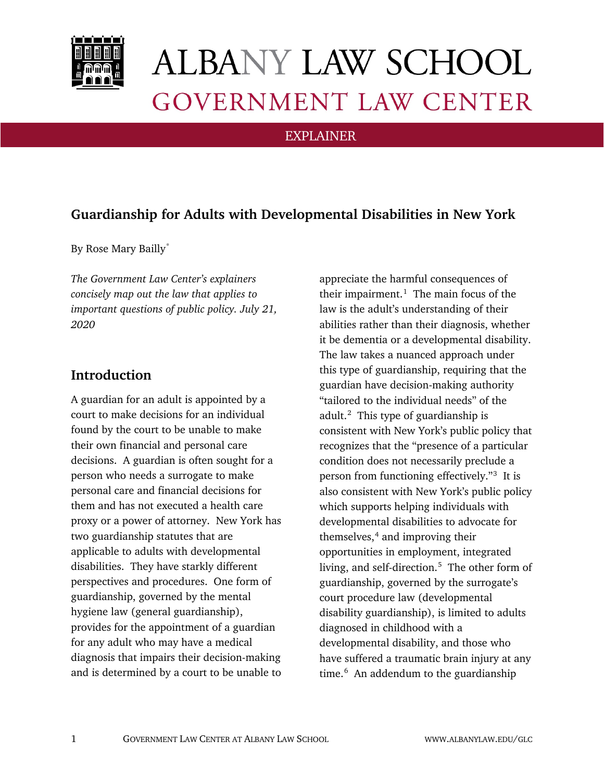

# **ALBANY LAW SCHOOL GOVERNMENT LAW CENTER**

### EXPLAINER

## **Guardianship for Adults with Developmental Disabilities in New York**

By Rose Mary Bailly[\\*](#page-2-0)

*The Government Law Center's explainers concisely map out the law that applies to important questions of public policy. July 21, 2020*

## **Introduction**

A guardian for an adult is appointed by a court to make decisions for an individual found by the court to be unable to make their own financial and personal care decisions. A guardian is often sought for a person who needs a surrogate to make personal care and financial decisions for them and has not executed a health care proxy or a power of attorney. New York has two guardianship statutes that are applicable to adults with developmental disabilities. They have starkly different perspectives and procedures. One form of guardianship, governed by the mental hygiene law (general guardianship), provides for the appointment of a guardian for any adult who may have a medical diagnosis that impairs their decision-making and is determined by a court to be unable to

appreciate the harmful consequences of their impairment. [1](#page-2-1) The main focus of the law is the adult's understanding of their abilities rather than their diagnosis, whether it be dementia or a developmental disability. The law takes a nuanced approach under this type of guardianship, requiring that the guardian have decision-making authority "tailored to the individual needs" of the adult.<sup>[2](#page-2-2)</sup> This type of guardianship is consistent with New York's public policy that recognizes that the "presence of a particular condition does not necessarily preclude a person from functioning effectively."[3](#page-2-3) It is also consistent with New York's public policy which supports helping individuals with developmental disabilities to advocate for themselves, $4$  and improving their opportunities in employment, integrated living, and self-direction.<sup>[5](#page-3-0)</sup> The other form of guardianship, governed by the surrogate's court procedure law (developmental disability guardianship), is limited to adults diagnosed in childhood with a developmental disability, and those who have suffered a traumatic brain injury at any time.<sup>[6](#page-3-1)</sup> An addendum to the guardianship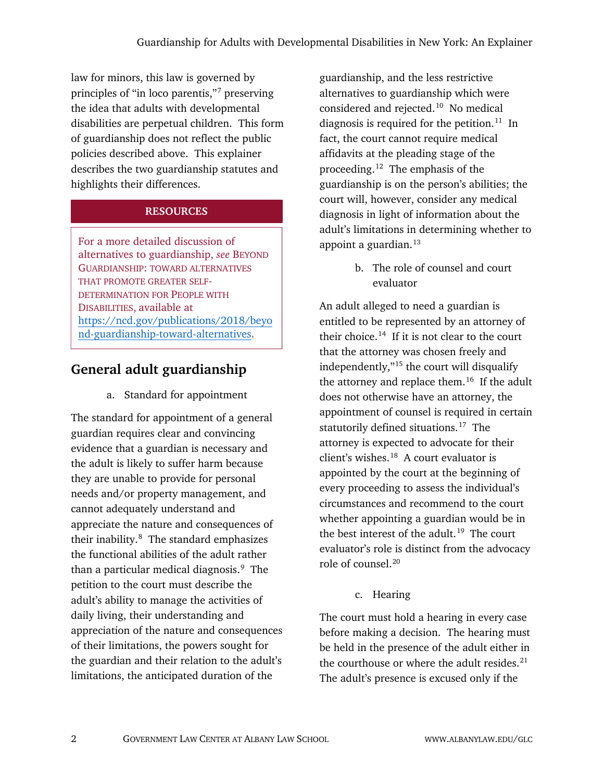law for minors, this law is governed by principles of "in loco parentis,"[7](#page-3-2) preserving the idea that adults with developmental disabilities are perpetual children. This form of guardianship does not reflect the public policies described above. This explainer describes the two guardianship statutes and highlights their differences.

#### **RESOURCES**

For a more detailed discussion of alternatives to guardianship, *see* BEYOND GUARDIANSHIP: TOWARD ALTERNATIVES THAT PROMOTE GREATER SELF-DETERMINATION FOR PEOPLE WITH DISABILITIES, available at [https://ncd.gov/publications/2018/beyo](https://ncd.gov/publications/2018/beyond-guardianship-toward-alternatives) [nd-guardianship-toward-alternatives.](https://ncd.gov/publications/2018/beyond-guardianship-toward-alternatives)

## **General adult guardianship**

a. Standard for appointment

The standard for appointment of a general guardian requires clear and convincing evidence that a guardian is necessary and the adult is likely to suffer harm because they are unable to provide for personal needs and/or property management, and cannot adequately understand and appreciate the nature and consequences of their inability.<sup>[8](#page-3-3)</sup> The standard emphasizes the functional abilities of the adult rather than a particular medical diagnosis.<sup>[9](#page-3-4)</sup> The petition to the court must describe the adult's ability to manage the activities of daily living, their understanding and appreciation of the nature and consequences of their limitations, the powers sought for the guardian and their relation to the adult's limitations, the anticipated duration of the

guardianship, and the less restrictive alternatives to guardianship which were considered and rejected.<sup>10</sup> No medical diagnosis is required for the petition.<sup>[11](#page-3-6)</sup> In fact, the court cannot require medical affidavits at the pleading stage of the proceeding.[12](#page-3-7) The emphasis of the guardianship is on the person's abilities; the court will, however, consider any medical diagnosis in light of information about the adult's limitations in determining whether to appoint a guardian. $13$ 

> b. The role of counsel and court evaluator

An adult alleged to need a guardian is entitled to be represented by an attorney of their choice.<sup>[14](#page-3-9)</sup> If it is not clear to the court that the attorney was chosen freely and independently,"[15](#page-3-10) the court will disqualify the attorney and replace them.<sup>[16](#page-3-11)</sup> If the adult does not otherwise have an attorney, the appointment of counsel is required in certain statutorily defined situations.<sup>17</sup> The attorney is expected to advocate for their client's wishes. $18$  A court evaluator is appointed by the court at the beginning of every proceeding to assess the individual's circumstances and recommend to the court whether appointing a guardian would be in the best interest of the adult.<sup>[19](#page-3-14)</sup> The court evaluator's role is distinct from the advocacy role of counsel.[20](#page-3-15)

c. Hearing

The court must hold a hearing in every case before making a decision. The hearing must be held in the presence of the adult either in the courthouse or where the adult resides. $21$ The adult's presence is excused only if the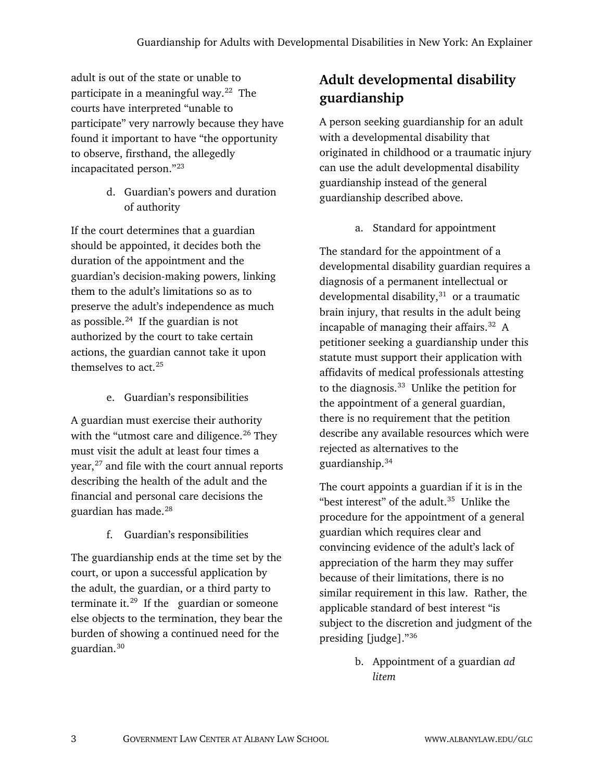adult is out of the state or unable to participate in a meaningful way. $22$  The courts have interpreted "unable to participate" very narrowly because they have found it important to have "the opportunity to observe, firsthand, the allegedly incapacitated person."[23](#page-3-18)

> d. Guardian's powers and duration of authority

If the court determines that a guardian should be appointed, it decides both the duration of the appointment and the guardian's decision-making powers, linking them to the adult's limitations so as to preserve the adult's independence as much as possible. $^{24}$  If the guardian is not authorized by the court to take certain actions, the guardian cannot take it upon themselves to act.[25](#page-3-20)

e. Guardian's responsibilities

A guardian must exercise their authority with the "utmost care and diligence.<sup>[26](#page-3-21)</sup> They must visit the adult at least four times a year,<sup>[27](#page-3-22)</sup> and file with the court annual reports describing the health of the adult and the financial and personal care decisions the guardian has made.[28](#page-3-23)

f. Guardian's responsibilities

<span id="page-2-4"></span><span id="page-2-3"></span><span id="page-2-2"></span><span id="page-2-1"></span><span id="page-2-0"></span>The guardianship ends at the time set by the court, or upon a successful application by the adult, the guardian, or a third party to terminate it.<sup>29</sup> If the guardian or someone else objects to the termination, they bear the burden of showing a continued need for the guardian.[30](#page-4-0)

# **Adult developmental disability guardianship**

A person seeking guardianship for an adult with a developmental disability that originated in childhood or a traumatic injury can use the adult developmental disability guardianship instead of the general guardianship described above.

a. Standard for appointment

The standard for the appointment of a developmental disability guardian requires a diagnosis of a permanent intellectual or developmental disability, $31$  or a traumatic brain injury, that results in the adult being incapable of managing their affairs. $32$  A petitioner seeking a guardianship under this statute must support their application with affidavits of medical professionals attesting to the diagnosis.<sup>[33](#page-4-3)</sup> Unlike the petition for the appointment of a general guardian, there is no requirement that the petition describe any available resources which were rejected as alternatives to the guardianship.[34](#page-4-4)

The court appoints a guardian if it is in the "best interest" of the adult. $35$  Unlike the procedure for the appointment of a general guardian which requires clear and convincing evidence of the adult's lack of appreciation of the harm they may suffer because of their limitations, there is no similar requirement in this law. Rather, the applicable standard of best interest "is subject to the discretion and judgment of the presiding [judge]."[36](#page-4-6)

> b. Appointment of a guardian *ad litem*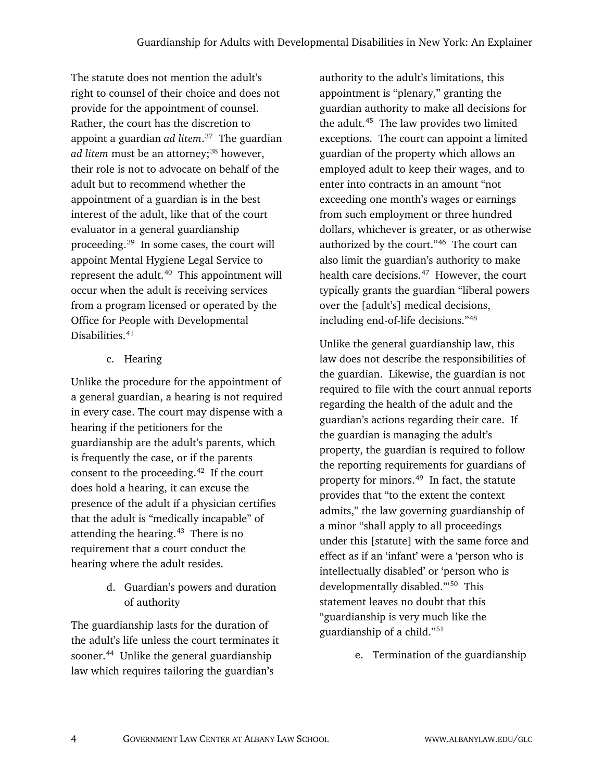<span id="page-3-4"></span><span id="page-3-3"></span><span id="page-3-2"></span><span id="page-3-1"></span><span id="page-3-0"></span>The statute does not mention the adult's right to counsel of their choice and does not provide for the appointment of counsel. Rather, the court has the discretion to appoint a guardian *ad litem*. [37](#page-4-7) The guardian *ad litem* must be an attorney;<sup>[38](#page-4-8)</sup> however, their role is not to advocate on behalf of the adult but to recommend whether the appointment of a guardian is in the best interest of the adult, like that of the court evaluator in a general guardianship proceeding. [39](#page-4-9) In some cases, the court will appoint Mental Hygiene Legal Service to represent the adult. $40$  This appointment will occur when the adult is receiving services from a program licensed or operated by the Office for People with Developmental Disabilities.<sup>[41](#page-4-11)</sup>

c. Hearing

<span id="page-3-18"></span><span id="page-3-17"></span><span id="page-3-16"></span><span id="page-3-15"></span><span id="page-3-14"></span><span id="page-3-13"></span><span id="page-3-12"></span><span id="page-3-11"></span><span id="page-3-10"></span><span id="page-3-9"></span><span id="page-3-8"></span><span id="page-3-7"></span><span id="page-3-6"></span><span id="page-3-5"></span>Unlike the procedure for the appointment of a general guardian, a hearing is not required in every case. The court may dispense with a hearing if the petitioners for the guardianship are the adult's parents, which is frequently the case, or if the parents consent to the proceeding. $42$  If the court does hold a hearing, it can excuse the presence of the adult if a physician certifies that the adult is "medically incapable" of attending the hearing. $43$  There is no requirement that a court conduct the hearing where the adult resides.

> <span id="page-3-19"></span>d. Guardian's powers and duration of authority

<span id="page-3-24"></span><span id="page-3-23"></span><span id="page-3-22"></span><span id="page-3-21"></span><span id="page-3-20"></span>The guardianship lasts for the duration of the adult's life unless the court terminates it sooner.<sup>44</sup> Unlike the general guardianship law which requires tailoring the guardian's

authority to the adult's limitations, this appointment is "plenary," granting the guardian authority to make all decisions for the adult.<sup>45</sup> The law provides two limited exceptions. The court can appoint a limited guardian of the property which allows an employed adult to keep their wages, and to enter into contracts in an amount "not exceeding one month's wages or earnings from such employment or three hundred dollars, whichever is greater, or as otherwise authorized by the court."[46](#page-4-16) The court can also limit the guardian's authority to make health care decisions.<sup>[47](#page-4-17)</sup> However, the court typically grants the guardian "liberal powers over the [adult's] medical decisions, including end-of-life decisions."[48](#page-4-18)

Unlike the general guardianship law, this law does not describe the responsibilities of the guardian. Likewise, the guardian is not required to file with the court annual reports regarding the health of the adult and the guardian's actions regarding their care. If the guardian is managing the adult's property, the guardian is required to follow the reporting requirements for guardians of property for minors.[49](#page-4-19) In fact, the statute provides that "to the extent the context admits," the law governing guardianship of a minor "shall apply to all proceedings under this [statute] with the same force and effect as if an 'infant' were a 'person who is intellectually disabled' or 'person who is developmentally disabled.'"[50](#page-4-20) This statement leaves no doubt that this "guardianship is very much like the guardianship of a child."[51](#page-4-21)

e. Termination of the guardianship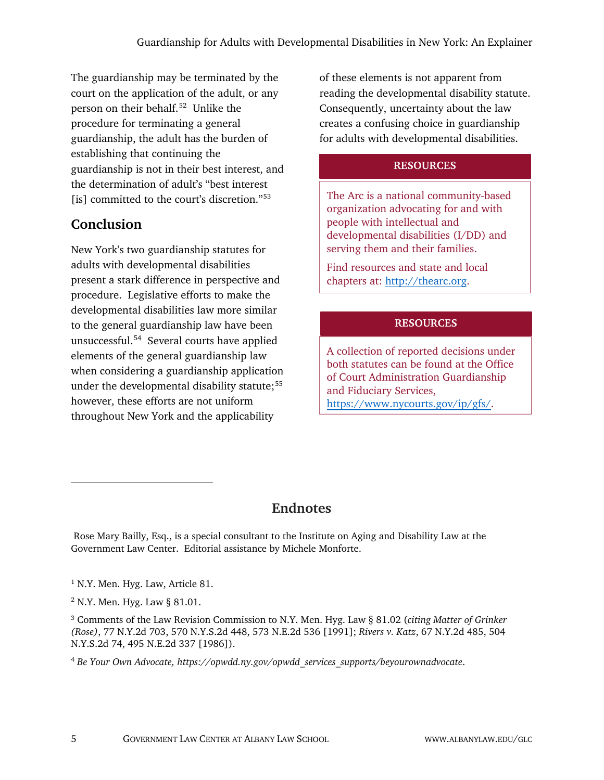<span id="page-4-2"></span><span id="page-4-1"></span><span id="page-4-0"></span>The guardianship may be terminated by the court on the application of the adult, or any person on their behalf.[52](#page-4-22) Unlike the procedure for terminating a general guardianship, the adult has the burden of establishing that continuing the guardianship is not in their best interest, and the determination of adult's "best interest [is] committed to the court's discretion."<sup>[53](#page-4-23)</sup>

# <span id="page-4-4"></span><span id="page-4-3"></span>**Conclusion**

<span id="page-4-15"></span><span id="page-4-14"></span><span id="page-4-13"></span><span id="page-4-12"></span><span id="page-4-11"></span> $\overline{a}$ 

<span id="page-4-10"></span><span id="page-4-9"></span><span id="page-4-8"></span><span id="page-4-7"></span><span id="page-4-6"></span><span id="page-4-5"></span>New York's two guardianship statutes for adults with developmental disabilities present a stark difference in perspective and procedure. Legislative efforts to make the developmental disabilities law more similar to the general guardianship law have been unsuccessful.[54](#page-4-24) Several courts have applied elements of the general guardianship law when considering a guardianship application under the developmental disability statute;<sup>[55](#page-5-0)</sup> however, these efforts are not uniform throughout New York and the applicability

of these elements is not apparent from reading the developmental disability statute. Consequently, uncertainty about the law creates a confusing choice in guardianship for adults with developmental disabilities.

## **RESOURCES**

The Arc is a national community-based organization advocating for and with people with intellectual and developmental disabilities (I/DD) and serving them and their families.

Find resources and state and local chapters at: [http://thearc.org.](http://thearc.org/)

#### **RESOURCES**

A collection of reported decisions under both statutes can be found at the Office of Court Administration Guardianship and Fiduciary Services, [https://www.nycourts.gov/ip/gfs/.](https://www.nycourts.gov/ip/gfs/)

## **Endnotes**

<span id="page-4-18"></span><span id="page-4-17"></span><span id="page-4-16"></span>Rose Mary Bailly, Esq., is a special consultant to the Institute on Aging and Disability Law at the Government Law Center. Editorial assistance by Michele Monforte.

<span id="page-4-20"></span><span id="page-4-19"></span><sup>&</sup>lt;sup>1</sup> N.Y. Men. Hyg. Law, Article 81.

<sup>2</sup> N.Y. Men. Hyg. Law § 81.01.

<span id="page-4-22"></span><span id="page-4-21"></span><sup>3</sup> Comments of the Law Revision Commission to N.Y. Men. Hyg. Law § 81.02 (*citing Matter of Grinker (Rose)*, 77 N.Y.2d 703, 570 N.Y.S.2d 448, 573 N.E.2d 536 [1991]; *Rivers v. Katz*, 67 N.Y.2d 485, 504 N.Y.S.2d 74, 495 N.E.2d 337 [1986]).

<span id="page-4-24"></span><span id="page-4-23"></span><sup>4</sup> *Be Your Own Advocate, https://opwdd.ny.gov/opwdd\_services\_supports/beyourownadvocate*.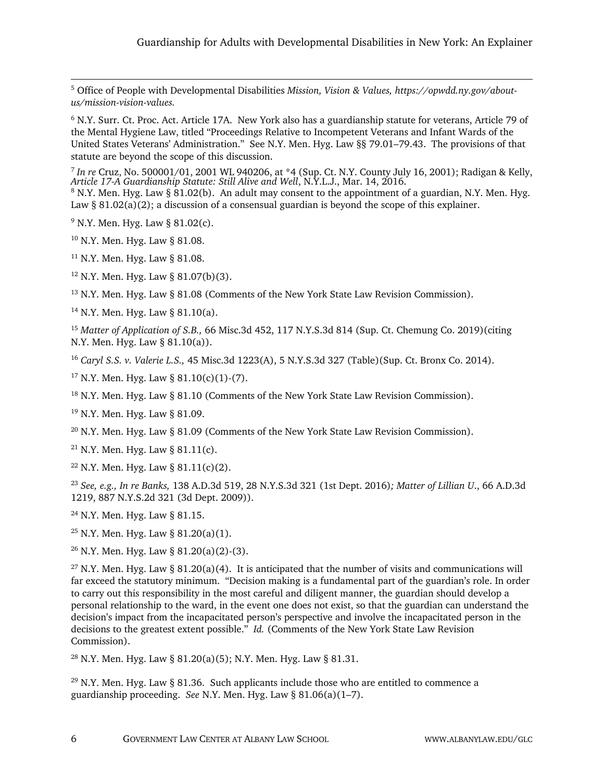<span id="page-5-0"></span> 5 Office of People with Developmental Disabilities *Mission, Vision & Values, https://opwdd.ny.gov/aboutus/mission-vision-values.*

<sup>6</sup> N.Y. Surr. Ct. Proc. Act. Article 17A. New York also has a guardianship statute for veterans, Article 79 of the Mental Hygiene Law, titled "Proceedings Relative to Incompetent Veterans and Infant Wards of the United States Veterans' Administration." See N.Y. Men. Hyg. Law §§ 79.01–79.43. The provisions of that statute are beyond the scope of this discussion.

<sup>7</sup> *In re* Cruz, No. 500001/01, 2001 WL 940206, at \*4 (Sup. Ct. N.Y. County July 16, 2001); Radigan & Kelly, *Article 17-A Guardianship Statute: Still Alive and Well*, N.Y.L.J., Mar. 14, 2016.

 $8$  N.Y. Men. Hyg. Law § 81.02(b). An adult may consent to the appointment of a guardian, N.Y. Men. Hyg. Law §  $81.02(a)(2)$ ; a discussion of a consensual guardian is beyond the scope of this explainer.

 $9$  N.Y. Men. Hyg. Law § 81.02(c).

<sup>10</sup> N.Y. Men. Hyg. Law § 81.08.

 $11$  N.Y. Men. Hyg. Law § 81.08.

 $12$  N.Y. Men. Hyg. Law § 81.07(b)(3).

<sup>13</sup> N.Y. Men. Hyg. Law § 81.08 (Comments of the New York State Law Revision Commission).

 $14$  N.Y. Men. Hyg. Law § 81.10(a).

<sup>15</sup> *Matter of Application of S.B.,* 66 Misc.3d 452, 117 N.Y.S.3d 814 (Sup. Ct. Chemung Co. 2019)(citing N.Y. Men. Hyg. Law § 81.10(a)).

<sup>16</sup> *Caryl S.S. v. Valerie L.S.,* 45 Misc.3d 1223(A), 5 N.Y.S.3d 327 (Table)(Sup. Ct. Bronx Co. 2014).

 $17$  N.Y. Men. Hyg. Law § 81.10(c)(1)-(7).

 $18$  N.Y. Men. Hyg. Law § 81.10 (Comments of the New York State Law Revision Commission).

<sup>19</sup> N.Y. Men. Hyg. Law § 81.09.

 $^{20}$  N.Y. Men. Hyg. Law § 81.09 (Comments of the New York State Law Revision Commission).

<sup>21</sup> N.Y. Men. Hyg. Law § 81.11(c).

 $22$  N.Y. Men. Hyg. Law § 81.11(c)(2).

<sup>23</sup> *See, e.g., In re Banks,* 138 A.D.3d 519, 28 N.Y.S.3d 321 (1st Dept. 2016)*; Matter of Lillian U*., 66 A.D.3d 1219, 887 N.Y.S.2d 321 (3d Dept. 2009)).

 $^{24}$  N.Y. Men. Hyg. Law § 81.15.

<sup>25</sup> N.Y. Men. Hyg. Law § 81.20(a)(1).

 $26$  N.Y. Men. Hyg. Law § 81.20(a)(2)-(3).

<sup>27</sup> N.Y. Men. Hyg. Law § 81.20(a)(4). It is anticipated that the number of visits and communications will far exceed the statutory minimum. "Decision making is a fundamental part of the guardian's role. In order to carry out this responsibility in the most careful and diligent manner, the guardian should develop a personal relationship to the ward, in the event one does not exist, so that the guardian can understand the decision's impact from the incapacitated person's perspective and involve the incapacitated person in the decisions to the greatest extent possible." *Id.* (Comments of the New York State Law Revision Commission).

<sup>28</sup> N.Y. Men. Hyg. Law § 81.20(a)(5); N.Y. Men. Hyg. Law § 81.31.

<sup>29</sup> N.Y. Men. Hyg. Law § 81.36. Such applicants include those who are entitled to commence a guardianship proceeding. *See* N.Y. Men. Hyg. Law § 81.06(a)(1–7).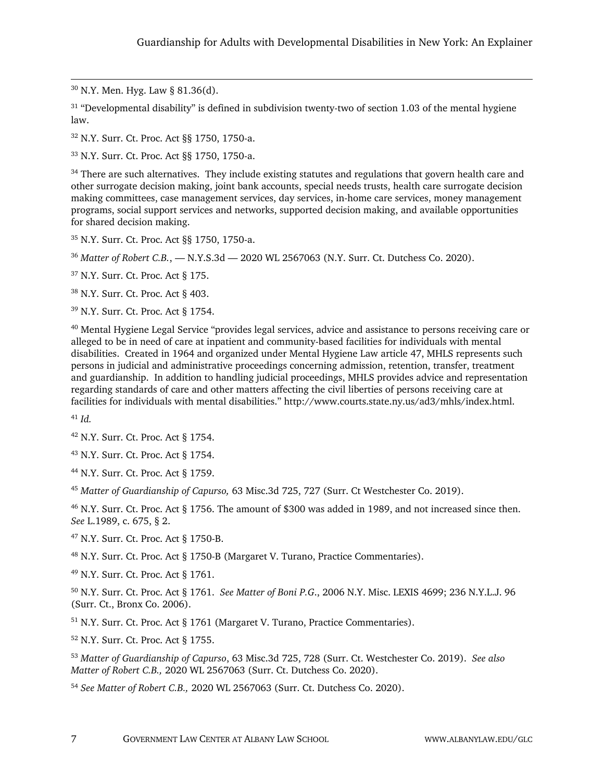30 N.Y. Men. Hyg. Law § 81.36(d).

 $31$  "Developmental disability" is defined in subdivision twenty-two of section 1.03 of the mental hygiene law.

<sup>32</sup> N.Y. Surr. Ct. Proc. Act §§ 1750, 1750-a.

<sup>33</sup> N.Y. Surr. Ct. Proc. Act §§ 1750, 1750-a.

<sup>34</sup> There are such alternatives. They include existing statutes and regulations that govern health care and other surrogate decision making, joint bank accounts, special needs trusts, health care surrogate decision making committees, case management services, day services, in-home care services, money management programs, social support services and networks, supported decision making, and available opportunities for shared decision making.

<sup>35</sup> N.Y. Surr. Ct. Proc. Act §§ 1750, 1750-a.

<sup>36</sup> *Matter of Robert C.B.*, — N.Y.S.3d — 2020 WL 2567063 (N.Y. Surr. Ct. Dutchess Co. 2020).

<sup>37</sup> N.Y. Surr. Ct. Proc. Act § 175.

<sup>38</sup> N.Y. Surr. Ct. Proc. Act § 403.

<sup>39</sup> N.Y. Surr. Ct. Proc. Act § 1754.

<sup>40</sup> Mental Hygiene Legal Service "provides legal services, advice and assistance to persons receiving care or alleged to be in need of care at inpatient and community-based facilities for individuals with mental disabilities. Created in 1964 and organized under Mental Hygiene Law article 47, MHLS represents such persons in judicial and administrative proceedings concerning admission, retention, transfer, treatment and guardianship. In addition to handling judicial proceedings, MHLS provides advice and representation regarding standards of care and other matters affecting the civil liberties of persons receiving care at facilities for individuals with mental disabilities." http://www.courts.state.ny.us/ad3/mhls/index.html.

<sup>41</sup> *Id.*

<sup>42</sup> N.Y. Surr. Ct. Proc. Act § 1754.

<sup>43</sup> N.Y. Surr. Ct. Proc. Act § 1754.

<sup>44</sup> N.Y. Surr. Ct. Proc. Act § 1759.

<sup>45</sup> *Matter of Guardianship of Capurso,* 63 Misc.3d 725, 727 (Surr. Ct Westchester Co. 2019).

<sup>46</sup> N.Y. Surr. Ct. Proc. Act § 1756. The amount of \$300 was added in 1989, and not increased since then. *See* L.1989, c. 675, § 2.

<sup>47</sup> N.Y. Surr. Ct. Proc. Act § 1750-B.

<sup>48</sup> N.Y. Surr. Ct. Proc. Act § 1750-B (Margaret V. Turano, Practice Commentaries).

<sup>49</sup> N.Y. Surr. Ct. Proc. Act § 1761.

<sup>50</sup> N.Y. Surr. Ct. Proc. Act § 1761. *See Matter of Boni P.G*., 2006 N.Y. Misc. LEXIS 4699; 236 N.Y.L.J. 96 (Surr. Ct., Bronx Co. 2006).

<sup>51</sup> N.Y. Surr. Ct. Proc. Act § 1761 (Margaret V. Turano, Practice Commentaries).

<sup>52</sup> N.Y. Surr. Ct. Proc. Act § 1755.

<sup>53</sup> *Matter of Guardianship of Capurso*, 63 Misc.3d 725, 728 (Surr. Ct. Westchester Co. 2019). *See also Matter of Robert C.B.,* 2020 WL 2567063 (Surr. Ct. Dutchess Co. 2020).

<sup>54</sup> *See Matter of Robert C.B.,* 2020 WL 2567063 (Surr. Ct. Dutchess Co. 2020).